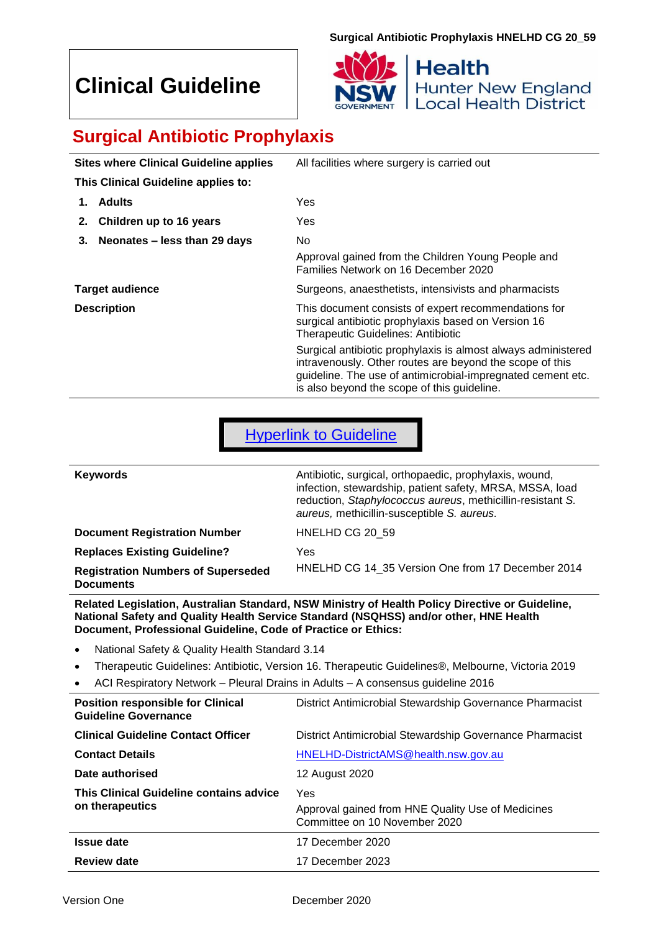# **Clinical Guideline**



# **Surgical Antibiotic Prophylaxis**

| <b>Sites where Clinical Guideline applies</b> | All facilities where surgery is carried out                                                                                                                                                                                             |
|-----------------------------------------------|-----------------------------------------------------------------------------------------------------------------------------------------------------------------------------------------------------------------------------------------|
| This Clinical Guideline applies to:           |                                                                                                                                                                                                                                         |
| <b>Adults</b><br>1.                           | Yes                                                                                                                                                                                                                                     |
| Children up to 16 years<br>2.                 | Yes.                                                                                                                                                                                                                                    |
| Neonates - less than 29 days<br>3.            | No.<br>Approval gained from the Children Young People and<br>Families Network on 16 December 2020                                                                                                                                       |
| <b>Target audience</b>                        | Surgeons, anaesthetists, intensivists and pharmacists                                                                                                                                                                                   |
| <b>Description</b>                            | This document consists of expert recommendations for<br>surgical antibiotic prophylaxis based on Version 16<br><b>Therapeutic Guidelines: Antibiotic</b>                                                                                |
|                                               | Surgical antibiotic prophylaxis is almost always administered<br>intravenously. Other routes are beyond the scope of this<br>guideline. The use of antimicrobial-impregnated cement etc.<br>is also beyond the scope of this guideline. |

[Hyperlink to Guideline](#page-3-0)

| <b>Keywords</b>                                               | Antibiotic, surgical, orthopaedic, prophylaxis, wound,<br>infection, stewardship, patient safety, MRSA, MSSA, load<br>reduction, Staphylococcus aureus, methicillin-resistant S.<br>aureus, methicillin-susceptible S. aureus. |
|---------------------------------------------------------------|--------------------------------------------------------------------------------------------------------------------------------------------------------------------------------------------------------------------------------|
| <b>Document Registration Number</b>                           | HNELHD CG 20 59                                                                                                                                                                                                                |
| <b>Replaces Existing Guideline?</b>                           | Yes                                                                                                                                                                                                                            |
| <b>Registration Numbers of Superseded</b><br><b>Documents</b> | HNELHD CG 14 35 Version One from 17 December 2014                                                                                                                                                                              |

**Related Legislation, Australian Standard, NSW Ministry of Health Policy Directive or Guideline, National Safety and Quality Health Service Standard (NSQHSS) and/or other, HNE Health Document, Professional Guideline, Code of Practice or Ethics:**

- National Safety & Quality Health Standard 3.14
- Therapeutic Guidelines: Antibiotic, Version 16. Therapeutic Guidelines®, Melbourne, Victoria 2019
- ACI Respiratory Network Pleural Drains in Adults A consensus guideline 2016

| <b>Position responsible for Clinical</b><br><b>Guideline Governance</b> | District Antimicrobial Stewardship Governance Pharmacist                           |
|-------------------------------------------------------------------------|------------------------------------------------------------------------------------|
| <b>Clinical Guideline Contact Officer</b>                               | District Antimicrobial Stewardship Governance Pharmacist                           |
| <b>Contact Details</b>                                                  | HNELHD-DistrictAMS@health.nsw.gov.au                                               |
| Date authorised                                                         | 12 August 2020                                                                     |
| This Clinical Guideline contains advice                                 | Yes                                                                                |
| on therapeutics                                                         | Approval gained from HNE Quality Use of Medicines<br>Committee on 10 November 2020 |
| <b>Issue date</b>                                                       | 17 December 2020                                                                   |
| <b>Review date</b>                                                      | 17 December 2023                                                                   |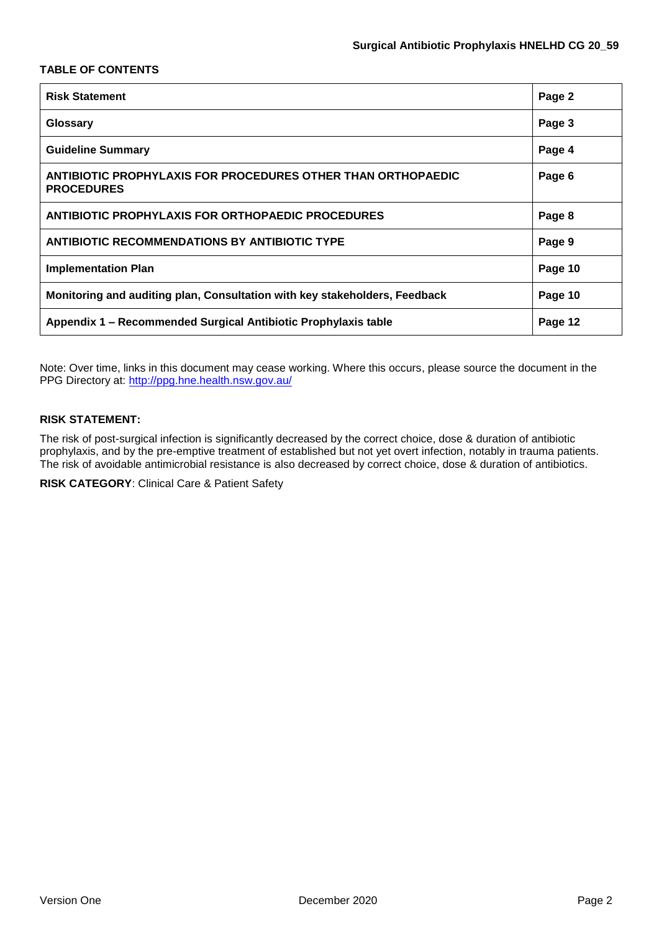### **TABLE OF CONTENTS**

| <b>Risk Statement</b>                                                             | Page 2  |
|-----------------------------------------------------------------------------------|---------|
| Glossary                                                                          | Page 3  |
| <b>Guideline Summary</b>                                                          | Page 4  |
| ANTIBIOTIC PROPHYLAXIS FOR PROCEDURES OTHER THAN ORTHOPAEDIC<br><b>PROCEDURES</b> | Page 6  |
| <b>ANTIBIOTIC PROPHYLAXIS FOR ORTHOPAEDIC PROCEDURES</b>                          | Page 8  |
| <b>ANTIBIOTIC RECOMMENDATIONS BY ANTIBIOTIC TYPE</b>                              | Page 9  |
| <b>Implementation Plan</b>                                                        | Page 10 |
| Monitoring and auditing plan, Consultation with key stakeholders, Feedback        | Page 10 |
| Appendix 1 - Recommended Surgical Antibiotic Prophylaxis table                    | Page 12 |

Note: Over time, links in this document may cease working. Where this occurs, please source the document in the PPG Directory at:<http://ppg.hne.health.nsw.gov.au/>

### **RISK STATEMENT:**

The risk of post-surgical infection is significantly decreased by the correct choice, dose & duration of antibiotic prophylaxis, and by the pre-emptive treatment of established but not yet overt infection, notably in trauma patients. The risk of avoidable antimicrobial resistance is also decreased by correct choice, dose & duration of antibiotics.

**RISK CATEGORY**: Clinical Care & Patient Safety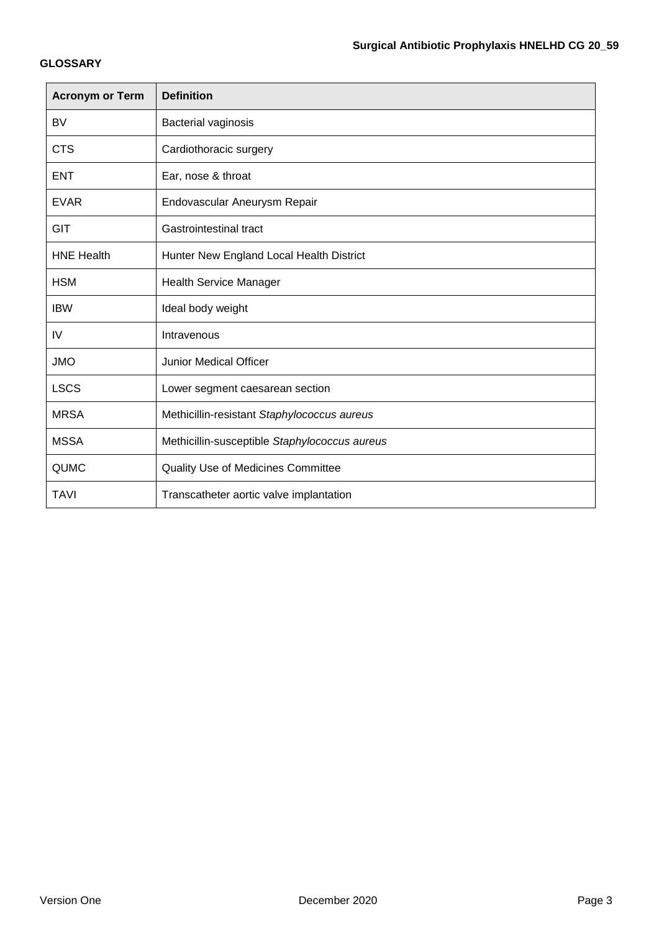### **GLOSSARY**

| <b>Acronym or Term</b> | <b>Definition</b>                             |
|------------------------|-----------------------------------------------|
| <b>BV</b>              | Bacterial vaginosis                           |
| <b>CTS</b>             | Cardiothoracic surgery                        |
| <b>ENT</b>             | Ear, nose & throat                            |
| <b>EVAR</b>            | Endovascular Aneurysm Repair                  |
| GIT                    | Gastrointestinal tract                        |
| <b>HNE Health</b>      | Hunter New England Local Health District      |
| <b>HSM</b>             | <b>Health Service Manager</b>                 |
| <b>IBW</b>             | Ideal body weight                             |
| IV                     | Intravenous                                   |
| <b>JMO</b>             | <b>Junior Medical Officer</b>                 |
| <b>LSCS</b>            | Lower segment caesarean section               |
| <b>MRSA</b>            | Methicillin-resistant Staphylococcus aureus   |
| <b>MSSA</b>            | Methicillin-susceptible Staphylococcus aureus |
| <b>QUMC</b>            | <b>Quality Use of Medicines Committee</b>     |
| <b>TAVI</b>            | Transcatheter aortic valve implantation       |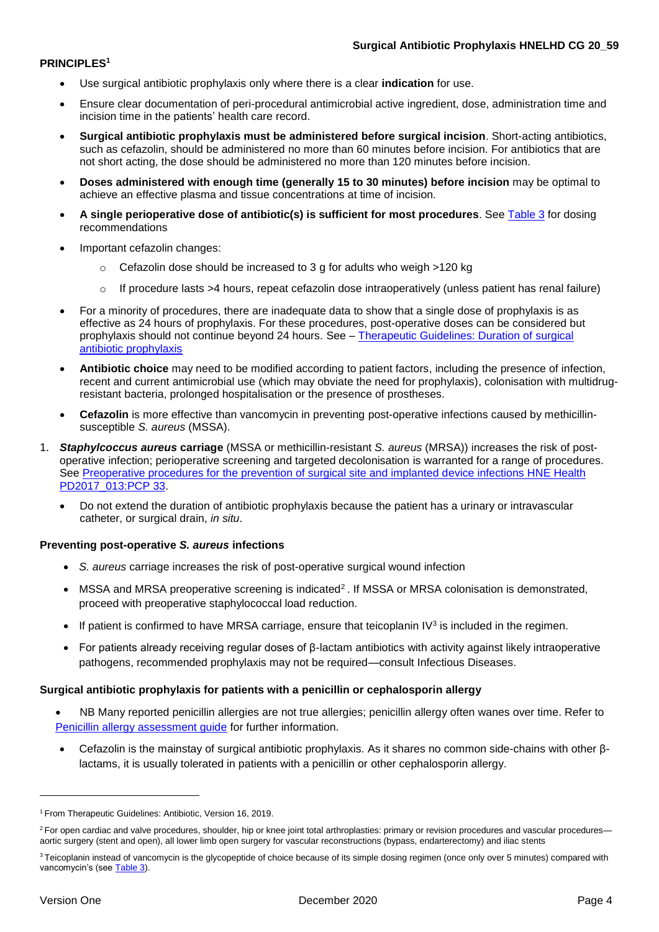### <span id="page-3-0"></span>**PRINCIPLES<sup>1</sup>**

- Use surgical antibiotic prophylaxis only where there is a clear **indication** for use.
- Ensure clear documentation of peri-procedural antimicrobial active ingredient, dose, administration time and incision time in the patients' health care record.
- **Surgical antibiotic prophylaxis must be administered before surgical incision**. Short-acting antibiotics, such as cefazolin, should be administered no more than 60 minutes before incision. For antibiotics that are not short acting, the dose should be administered no more than 120 minutes before incision.
- **Doses administered with enough time (generally 15 to 30 minutes) before incision** may be optimal to achieve an effective plasma and tissue concentrations at time of incision.
- **A single perioperative dose of antibiotic(s) is sufficient for most procedures**. Se[e Table 3](#page-8-0) for dosing recommendations
- Important cefazolin changes:
	- o Cefazolin dose should be increased to 3 g for adults who weigh >120 kg
	- $\circ$  If procedure lasts >4 hours, repeat cefazolin dose intraoperatively (unless patient has renal failure)
- For a minority of procedures, there are inadequate data to show that a single dose of prophylaxis is as effective as 24 hours of prophylaxis. For these procedures, post-operative doses can be considered but prophylaxis should not continue beyond 24 hours. See – [Therapeutic Guidelines: Duration of](https://tgldcdp.tg.org.au.acs.hcn.com.au/viewTopic?topicfile=surgical-antibiotic-prophylaxis-principles§ionId=abg16-c96-s10#abg16-c96-s10) surgical [antibiotic prophylaxis](https://tgldcdp.tg.org.au.acs.hcn.com.au/viewTopic?topicfile=surgical-antibiotic-prophylaxis-principles§ionId=abg16-c96-s10#abg16-c96-s10)
- **Antibiotic choice** may need to be modified according to patient factors, including the presence of infection, recent and current antimicrobial use (which may obviate the need for prophylaxis), colonisation with multidrugresistant bacteria, prolonged hospitalisation or the presence of prostheses.
- **Cefazolin** is more effective than vancomycin in preventing post-operative infections caused by methicillinsusceptible *S. aureus* (MSSA).
- 1. *Staphylcoccus aureus* **carriage** (MSSA or methicillin-resistant *S. aureus* (MRSA)) increases the risk of postoperative infection; perioperative screening and targeted decolonisation is warranted for a range of procedures. See [Preoperative procedures for the prevention of surgical site and implanted device infections](http://intranet.hne.health.nsw.gov.au/__data/assets/pdf_file/0019/414019/PD2017_013_PCP_33_Pre_Operative_Procedures_for_the_prevention_of_surgical_site_infections.pdf) HNE Health [PD2017\\_013:PCP 33.](http://intranet.hne.health.nsw.gov.au/__data/assets/pdf_file/0019/414019/PD2017_013_PCP_33_Pre_Operative_Procedures_for_the_prevention_of_surgical_site_infections.pdf)
	- Do not extend the duration of antibiotic prophylaxis because the patient has a urinary or intravascular catheter, or surgical drain, *in situ*.

### **Preventing post-operative** *S. aureus* **infections**

- *S. aureus* carriage increases the risk of post-operative surgical wound infection
- $\bullet$  MSSA and MRSA preoperative screening is indicated<sup>2</sup>. If MSSA or MRSA colonisation is demonstrated, proceed with preoperative staphylococcal load reduction.
- If patient is confirmed to have MRSA carriage, ensure that teicoplanin IV<sup>3</sup> is included in the regimen.
- For patients already receiving regular doses of  $β$ -lactam antibiotics with activity against likely intraoperative pathogens, recommended prophylaxis may not be required—consult Infectious Diseases.

### **Surgical antibiotic prophylaxis for patients with a penicillin or cephalosporin allergy**

- NB Many reported penicillin allergies are not true allergies; penicillin allergy often wanes over time. Refer to Penicillin allergy assessment quide for further information.
- Cefazolin is the mainstay of surgical antibiotic prophylaxis. As it shares no common side-chains with other βlactams, it is usually tolerated in patients with a penicillin or other cephalosporin allergy.

<u>.</u>

<sup>1</sup> From Therapeutic Guidelines: Antibiotic, Version 16, 2019.

<sup>&</sup>lt;sup>2</sup> For open cardiac and valve procedures, shoulder, hip or knee joint total arthroplasties: primary or revision procedures and vascular procedures aortic surgery (stent and open), all lower limb open surgery for vascular reconstructions (bypass, endarterectomy) and iliac stents

<sup>&</sup>lt;sup>3</sup> Teicoplanin instead of vancomycin is the glycopeptide of choice because of its simple dosing regimen (once only over 5 minutes) compared with vancomycin's (see [Table 3\)](#page-8-0).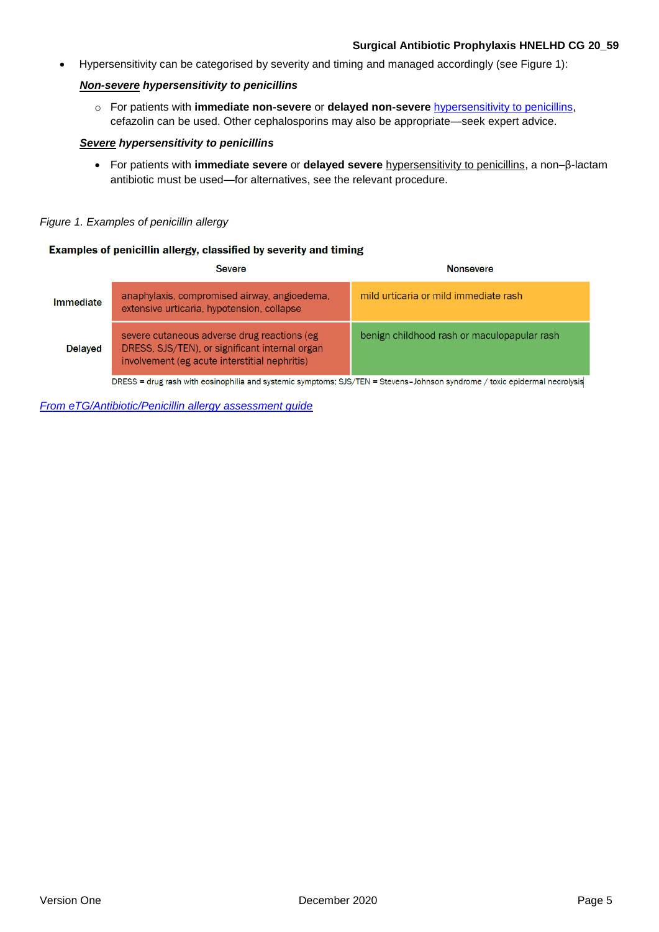### **Surgical Antibiotic Prophylaxis HNELHD CG 20\_59**

Hypersensitivity can be categorised by severity and timing and managed accordingly (see Figure 1):

### *Non-severe hypersensitivity to penicillins*

o For patients with **immediate non-severe** or **delayed non-severe** [hypersensitivity to penicillins,](https://tgldcdp.tg.org.au.acs.hcn.com.au/viewTopic?topicfile=antimicrobial-hypersensitivity§ionId=abg16-c166-s13#abg16-c166-s13) cefazolin can be used. Other cephalosporins may also be appropriate—seek expert advice.

### *Severe hypersensitivity to penicillins*

 For patients with **immediate severe** or **delayed severe** [hypersensitivity to penicillins,](https://tgldcdp.tg.org.au.acs.hcn.com.au/viewTopic?topicfile=antimicrobial-hypersensitivity§ionId=abg16-c166-s13#abg16-c166-s13) a non–β-lactam antibiotic must be used—for alternatives, see the relevant procedure.

### *Figure 1. Examples of penicillin allergy*

### Examples of penicillin allergy, classified by severity and timing

|                | Severe                                                                                                                                          | <b>Nonsevere</b>                            |
|----------------|-------------------------------------------------------------------------------------------------------------------------------------------------|---------------------------------------------|
| Immediate      | anaphylaxis, compromised airway, angioedema,<br>extensive urticaria, hypotension, collapse                                                      | mild urticaria or mild immediate rash       |
| <b>Delaved</b> | severe cutaneous adverse drug reactions (eg)<br>DRESS, SJS/TEN), or significant internal organ<br>involvement (eg acute interstitial nephritis) | benign childhood rash or maculopapular rash |
|                | DRESS - drug roch with ensignabiling and evetemic symptoms: SIS (TEN) - Stevens - Johnson syndrome / toxic enidermal necrolveis                 |                                             |

= drug rash with eosinophilia and systemic symptoms; SJS/TEN = Stevens–Johnson syndrome / toxic epidermal necrolysis

*[From eTG/Antibiotic/Penicillin allergy assessment guide](https://tgldcdp.tg.org.au.acs.hcn.com.au/fulltext/quicklinks/PenicillinAllergyAssessment_v6.pdf)*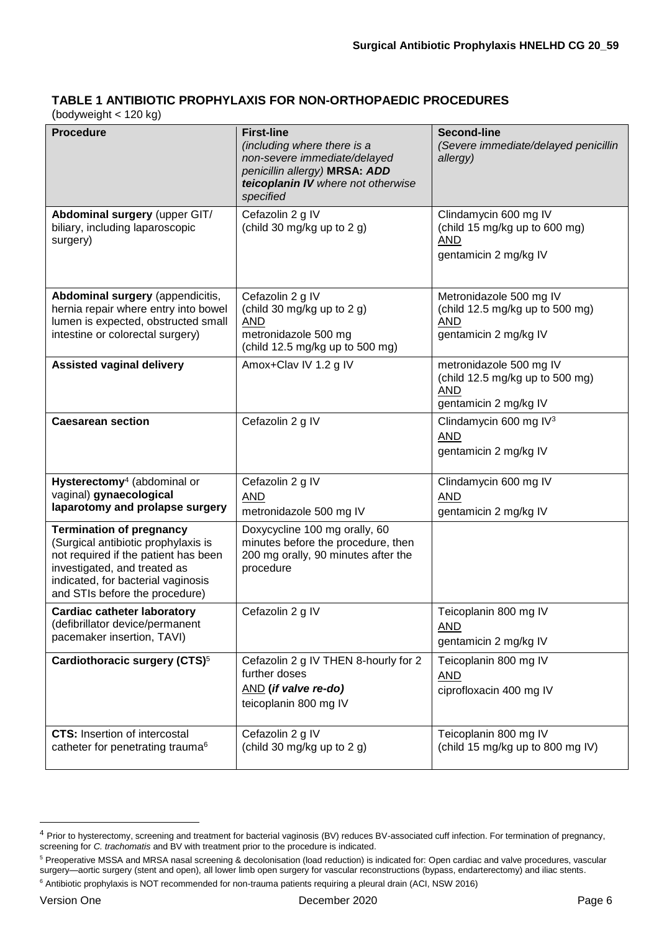## **TABLE 1 ANTIBIOTIC PROPHYLAXIS FOR NON-ORTHOPAEDIC PROCEDURES**

(bodyweight < 120 kg)

| <b>Procedure</b>                                                                                                                                                                                                       | <b>First-line</b><br>(including where there is a<br>non-severe immediate/delayed<br>penicillin allergy) MRSA: ADD<br>teicoplanin IV where not otherwise<br>specified | <b>Second-line</b><br>(Severe immediate/delayed penicillin<br>allergy)                            |
|------------------------------------------------------------------------------------------------------------------------------------------------------------------------------------------------------------------------|----------------------------------------------------------------------------------------------------------------------------------------------------------------------|---------------------------------------------------------------------------------------------------|
| Abdominal surgery (upper GIT/<br>biliary, including laparoscopic<br>surgery)                                                                                                                                           | Cefazolin 2 g IV<br>(child 30 mg/kg up to 2 g)                                                                                                                       | Clindamycin 600 mg IV<br>(child 15 mg/kg up to 600 mg)<br><b>AND</b><br>gentamicin 2 mg/kg IV     |
| Abdominal surgery (appendicitis,<br>hernia repair where entry into bowel<br>lumen is expected, obstructed small<br>intestine or colorectal surgery)                                                                    | Cefazolin 2 g IV<br>(child 30 mg/kg up to 2 g)<br><b>AND</b><br>metronidazole 500 mg<br>(child 12.5 mg/kg up to 500 mg)                                              | Metronidazole 500 mg IV<br>(child 12.5 mg/kg up to 500 mg)<br><b>AND</b><br>gentamicin 2 mg/kg IV |
| <b>Assisted vaginal delivery</b>                                                                                                                                                                                       | Amox+Clav IV 1.2 g IV                                                                                                                                                | metronidazole 500 mg IV<br>(child 12.5 mg/kg up to 500 mg)<br><b>AND</b><br>gentamicin 2 mg/kg IV |
| <b>Caesarean section</b>                                                                                                                                                                                               | Cefazolin 2 g IV                                                                                                                                                     | Clindamycin 600 mg IV <sup>3</sup><br><b>AND</b><br>gentamicin 2 mg/kg IV                         |
| Hysterectomy <sup>4</sup> (abdominal or<br>vaginal) gynaecological<br>laparotomy and prolapse surgery                                                                                                                  | Cefazolin 2 g IV<br><b>AND</b><br>metronidazole 500 mg IV                                                                                                            | Clindamycin 600 mg IV<br><b>AND</b><br>gentamicin 2 mg/kg IV                                      |
| <b>Termination of pregnancy</b><br>(Surgical antibiotic prophylaxis is<br>not required if the patient has been<br>investigated, and treated as<br>indicated, for bacterial vaginosis<br>and STIs before the procedure) | Doxycycline 100 mg orally, 60<br>minutes before the procedure, then<br>200 mg orally, 90 minutes after the<br>procedure                                              |                                                                                                   |
| <b>Cardiac catheter laboratory</b><br>(defibrillator device/permanent<br>pacemaker insertion, TAVI)                                                                                                                    | Cefazolin 2 g IV                                                                                                                                                     | Teicoplanin 800 mg IV<br><b>AND</b><br>gentamicin 2 mg/kg IV                                      |
| Cardiothoracic surgery (CTS) <sup>5</sup>                                                                                                                                                                              | Cefazolin 2 g IV THEN 8-hourly for 2<br>further doses<br>AND (if valve re-do)<br>teicoplanin 800 mg IV                                                               | Teicoplanin 800 mg IV<br><b>AND</b><br>ciprofloxacin 400 mg IV                                    |
| <b>CTS:</b> Insertion of intercostal<br>catheter for penetrating trauma <sup>6</sup>                                                                                                                                   | Cefazolin 2 g IV<br>(child 30 mg/kg up to 2 g)                                                                                                                       | Teicoplanin 800 mg IV<br>(child 15 mg/kg up to 800 mg IV)                                         |

1

<sup>&</sup>lt;sup>4</sup> Prior to hysterectomy, screening and treatment for bacterial vaginosis (BV) reduces BV-associated cuff infection. For termination of pregnancy, screening for *C. trachomatis* and BV with treatment prior to the procedure is indicated.

<sup>5</sup> Preoperative MSSA and MRSA nasal screening & decolonisation (load reduction) is indicated for: Open cardiac and valve procedures, vascular surgery—aortic surgery (stent and open), all lower limb open surgery for vascular reconstructions (bypass, endarterectomy) and iliac stents.

<sup>&</sup>lt;sup>6</sup> Antibiotic prophylaxis is NOT recommended for non-trauma patients requiring a pleural drain (ACI, NSW 2016)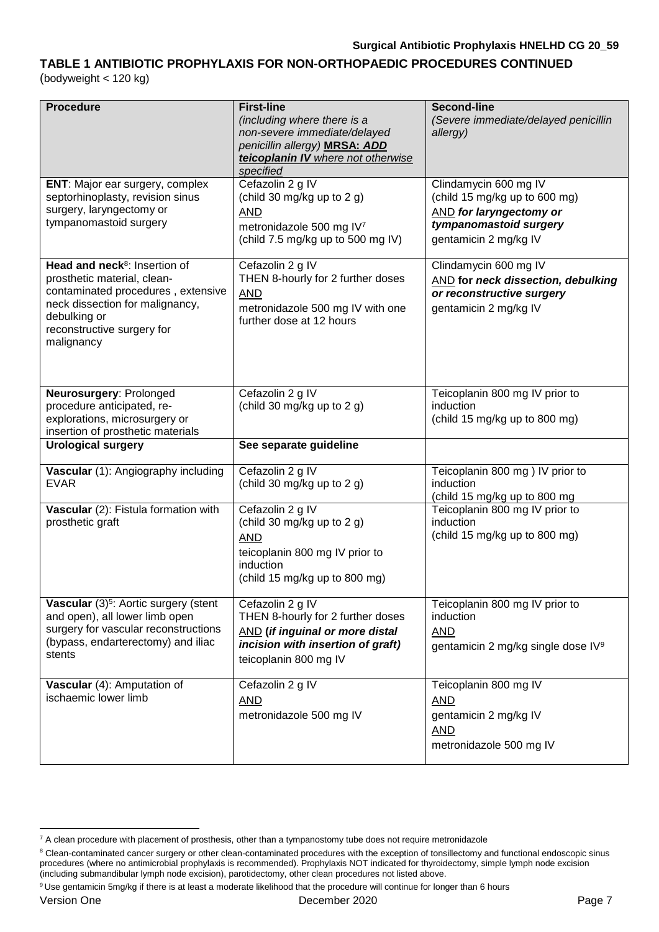### **TABLE 1 ANTIBIOTIC PROPHYLAXIS FOR NON-ORTHOPAEDIC PROCEDURES CONTINUED**  (bodyweight < 120 kg)

| <b>Procedure</b>                                                                                                                                                                                              | <b>First-line</b><br>(including where there is a<br>non-severe immediate/delayed<br>penicillin allergy) MRSA: ADD<br>teicoplanin IV where not otherwise<br>specified | <b>Second-line</b><br>(Severe immediate/delayed penicillin<br>allergy)                                                                      |
|---------------------------------------------------------------------------------------------------------------------------------------------------------------------------------------------------------------|----------------------------------------------------------------------------------------------------------------------------------------------------------------------|---------------------------------------------------------------------------------------------------------------------------------------------|
| ENT: Major ear surgery, complex<br>septorhinoplasty, revision sinus<br>surgery, laryngectomy or<br>tympanomastoid surgery                                                                                     | Cefazolin 2 g IV<br>(child 30 mg/kg up to 2 g)<br><b>AND</b><br>metronidazole 500 mg IV7<br>(child 7.5 mg/kg up to 500 mg IV)                                        | Clindamycin 600 mg IV<br>(child 15 mg/kg up to 600 mg)<br><b>AND</b> for laryngectomy or<br>tympanomastoid surgery<br>gentamicin 2 mg/kg IV |
| Head and neck <sup>8</sup> : Insertion of<br>prosthetic material, clean-<br>contaminated procedures, extensive<br>neck dissection for malignancy,<br>debulking or<br>reconstructive surgery for<br>malignancy | Cefazolin 2 g IV<br>THEN 8-hourly for 2 further doses<br><b>AND</b><br>metronidazole 500 mg IV with one<br>further dose at 12 hours                                  | Clindamycin 600 mg IV<br>AND for neck dissection, debulking<br>or reconstructive surgery<br>gentamicin 2 mg/kg IV                           |
| Neurosurgery: Prolonged<br>procedure anticipated, re-<br>explorations, microsurgery or<br>insertion of prosthetic materials                                                                                   | Cefazolin 2 g IV<br>(child 30 mg/kg up to 2 g)                                                                                                                       | Teicoplanin 800 mg IV prior to<br>induction<br>(child 15 mg/kg up to 800 mg)                                                                |
| <b>Urological surgery</b>                                                                                                                                                                                     | See separate guideline                                                                                                                                               |                                                                                                                                             |
| Vascular (1): Angiography including<br><b>EVAR</b>                                                                                                                                                            | Cefazolin 2 g IV<br>(child 30 mg/kg up to 2 g)                                                                                                                       | Teicoplanin 800 mg ) IV prior to<br>induction<br>(child 15 mg/kg up to 800 mg                                                               |
| Vascular (2): Fistula formation with<br>prosthetic graft                                                                                                                                                      | Cefazolin 2 g IV<br>(child 30 mg/kg up to 2 g)<br><b>AND</b><br>teicoplanin 800 mg IV prior to<br>induction<br>(child 15 mg/kg up to 800 mg)                         | Teicoplanin 800 mg IV prior to<br>induction<br>(child 15 mg/kg up to 800 mg)                                                                |
| Vascular (3) <sup>5</sup> : Aortic surgery (stent<br>and open), all lower limb open<br>surgery for vascular reconstructions<br>(bypass, endarterectomy) and iliac<br>stents                                   | Cefazolin 2 g IV<br>THEN 8-hourly for 2 further doses<br><b>AND</b> (if inguinal or more distal<br>incision with insertion of graft)<br>teicoplanin 800 mg IV        | Teicoplanin 800 mg IV prior to<br>induction<br><b>AND</b><br>gentamicin 2 mg/kg single dose IV <sup>9</sup>                                 |
| Vascular (4): Amputation of<br>ischaemic lower limb                                                                                                                                                           | Cefazolin 2 g IV<br><b>AND</b><br>metronidazole 500 mg IV                                                                                                            | Teicoplanin 800 mg IV<br><b>AND</b><br>gentamicin 2 mg/kg IV<br><b>AND</b><br>metronidazole 500 mg IV                                       |

1

 $7$  A clean procedure with placement of prosthesis, other than a tympanostomy tube does not require metronidazole

<sup>&</sup>lt;sup>8</sup> Clean-contaminated cancer surgery or other clean-contaminated procedures with the exception of tonsillectomy and functional endoscopic sinus procedures (where no antimicrobial prophylaxis is recommended). Prophylaxis NOT indicated for thyroidectomy, simple lymph node excision (including submandibular lymph node excision), parotidectomy, other clean procedures not listed above.

<sup>&</sup>lt;sup>9</sup> Use gentamicin 5mg/kg if there is at least a moderate likelihood that the procedure will continue for longer than 6 hours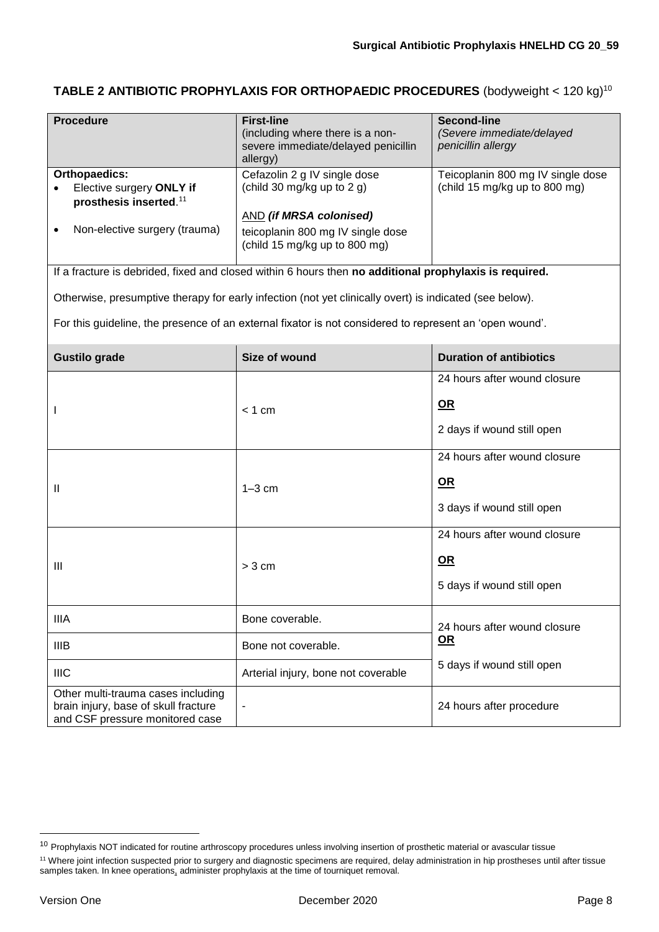**TABLE 2 ANTIBIOTIC PROPHYLAXIS FOR ORTHOPAEDIC PROCEDURES** (bodyweight < 120 kg)<sup>10</sup>

| <b>Procedure</b><br><b>Orthopaedics:</b>                                                                      | <b>First-line</b><br>(including where there is a non-<br>severe immediate/delayed penicillin<br>allergy)<br>Cefazolin 2 g IV single dose | <b>Second-line</b><br>(Severe immediate/delayed<br>penicillin allergy<br>Teicoplanin 800 mg IV single dose |
|---------------------------------------------------------------------------------------------------------------|------------------------------------------------------------------------------------------------------------------------------------------|------------------------------------------------------------------------------------------------------------|
| Elective surgery ONLY if<br>prosthesis inserted. <sup>11</sup>                                                | (child 30 mg/kg up to 2 g)<br><b>AND (if MRSA colonised)</b>                                                                             | (child 15 mg/kg up to 800 mg)                                                                              |
| Non-elective surgery (trauma)                                                                                 | teicoplanin 800 mg IV single dose<br>(child 15 mg/kg up to 800 mg)                                                                       |                                                                                                            |
|                                                                                                               | If a fracture is debrided, fixed and closed within 6 hours then no additional prophylaxis is required.                                   |                                                                                                            |
|                                                                                                               | Otherwise, presumptive therapy for early infection (not yet clinically overt) is indicated (see below).                                  |                                                                                                            |
|                                                                                                               | For this guideline, the presence of an external fixator is not considered to represent an 'open wound'.                                  |                                                                                                            |
| <b>Gustilo grade</b>                                                                                          | Size of wound                                                                                                                            | <b>Duration of antibiotics</b>                                                                             |
|                                                                                                               |                                                                                                                                          | 24 hours after wound closure                                                                               |
|                                                                                                               | $< 1$ cm                                                                                                                                 | <u>OR</u>                                                                                                  |
|                                                                                                               |                                                                                                                                          | 2 days if wound still open                                                                                 |
|                                                                                                               |                                                                                                                                          | 24 hours after wound closure                                                                               |
| Ш                                                                                                             | $1-3$ cm                                                                                                                                 | <u>OR</u>                                                                                                  |
|                                                                                                               |                                                                                                                                          | 3 days if wound still open                                                                                 |
|                                                                                                               |                                                                                                                                          | 24 hours after wound closure                                                                               |
| Ш                                                                                                             | > 3 cm                                                                                                                                   | <b>OR</b>                                                                                                  |
|                                                                                                               |                                                                                                                                          | 5 days if wound still open                                                                                 |
| <b>IIIA</b>                                                                                                   | Bone coverable.                                                                                                                          | 24 hours after wound closure                                                                               |
| <b>IIIB</b>                                                                                                   | Bone not coverable.                                                                                                                      | <u>OR</u>                                                                                                  |
| <b>IIIC</b>                                                                                                   | Arterial injury, bone not coverable                                                                                                      | 5 days if wound still open                                                                                 |
| Other multi-trauma cases including<br>brain injury, base of skull fracture<br>and CSF pressure monitored case | $\blacksquare$                                                                                                                           | 24 hours after procedure                                                                                   |

<u>.</u>

<sup>&</sup>lt;sup>10</sup> Prophylaxis NOT indicated for routine arthroscopy procedures unless involving insertion of prosthetic material or avascular tissue

<sup>&</sup>lt;sup>11</sup> Where joint infection suspected prior to surgery and diagnostic specimens are required, delay administration in hip prostheses until after tissue samples taken. In knee operations, administer prophylaxis at the time of tourniquet removal.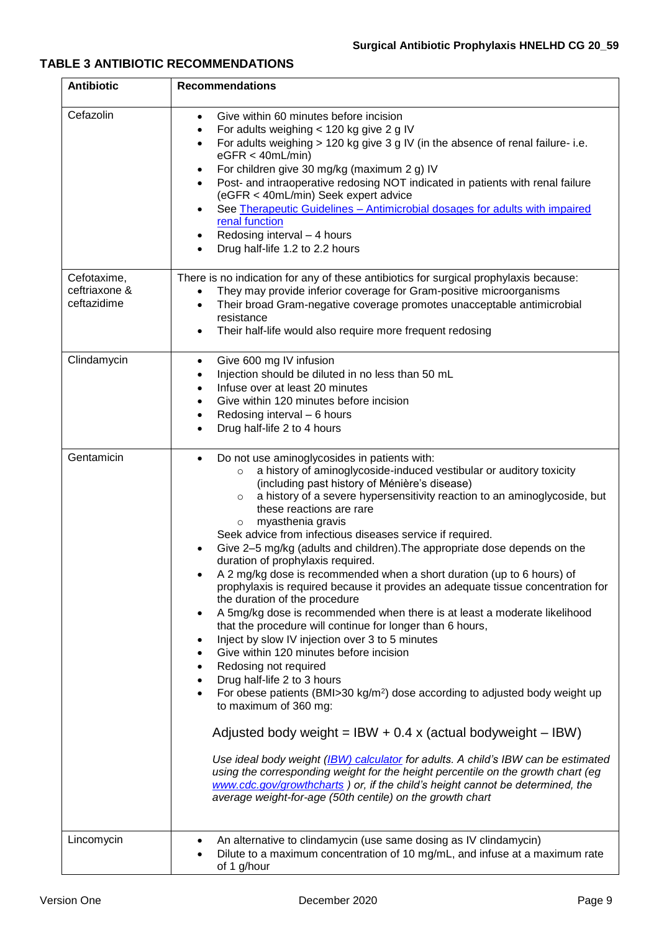### <span id="page-8-0"></span>**TABLE 3 ANTIBIOTIC RECOMMENDATIONS**

| <b>Antibiotic</b>                           | <b>Recommendations</b>                                                                                                                                                                                                                                                                                                                                                                                                                                                                                                                                                                                                                                                                                                                                                                                                                                                                                                                                                                                                                                                                                                                                                                                                                                                                                                                                                                                                                                                                                                                                     |
|---------------------------------------------|------------------------------------------------------------------------------------------------------------------------------------------------------------------------------------------------------------------------------------------------------------------------------------------------------------------------------------------------------------------------------------------------------------------------------------------------------------------------------------------------------------------------------------------------------------------------------------------------------------------------------------------------------------------------------------------------------------------------------------------------------------------------------------------------------------------------------------------------------------------------------------------------------------------------------------------------------------------------------------------------------------------------------------------------------------------------------------------------------------------------------------------------------------------------------------------------------------------------------------------------------------------------------------------------------------------------------------------------------------------------------------------------------------------------------------------------------------------------------------------------------------------------------------------------------------|
| Cefazolin                                   | Give within 60 minutes before incision<br>$\bullet$<br>For adults weighing < 120 kg give 2 g IV<br>$\bullet$<br>For adults weighing $> 120$ kg give 3 g IV (in the absence of renal failure- i.e.<br>$\bullet$<br>eGFR < 40mL/min<br>For children give 30 mg/kg (maximum 2 g) IV<br>Post- and intraoperative redosing NOT indicated in patients with renal failure<br>(eGFR < 40mL/min) Seek expert advice<br>See Therapeutic Guidelines - Antimicrobial dosages for adults with impaired<br>renal function<br>Redosing interval - 4 hours<br>Drug half-life 1.2 to 2.2 hours                                                                                                                                                                                                                                                                                                                                                                                                                                                                                                                                                                                                                                                                                                                                                                                                                                                                                                                                                                              |
| Cefotaxime,<br>ceftriaxone &<br>ceftazidime | There is no indication for any of these antibiotics for surgical prophylaxis because:<br>They may provide inferior coverage for Gram-positive microorganisms<br>Their broad Gram-negative coverage promotes unacceptable antimicrobial<br>$\bullet$<br>resistance<br>Their half-life would also require more frequent redosing                                                                                                                                                                                                                                                                                                                                                                                                                                                                                                                                                                                                                                                                                                                                                                                                                                                                                                                                                                                                                                                                                                                                                                                                                             |
| Clindamycin                                 | Give 600 mg IV infusion<br>$\bullet$<br>Injection should be diluted in no less than 50 mL<br>Infuse over at least 20 minutes<br>Give within 120 minutes before incision<br>Redosing interval - 6 hours<br>Drug half-life 2 to 4 hours                                                                                                                                                                                                                                                                                                                                                                                                                                                                                                                                                                                                                                                                                                                                                                                                                                                                                                                                                                                                                                                                                                                                                                                                                                                                                                                      |
| Gentamicin                                  | Do not use aminoglycosides in patients with:<br>$\bullet$<br>a history of aminoglycoside-induced vestibular or auditory toxicity<br>$\circ$<br>(including past history of Ménière's disease)<br>a history of a severe hypersensitivity reaction to an aminoglycoside, but<br>$\circ$<br>these reactions are rare<br>myasthenia gravis<br>$\circ$<br>Seek advice from infectious diseases service if required.<br>Give 2-5 mg/kg (adults and children). The appropriate dose depends on the<br>duration of prophylaxis required.<br>A 2 mg/kg dose is recommended when a short duration (up to 6 hours) of<br>prophylaxis is required because it provides an adequate tissue concentration for<br>the duration of the procedure<br>A 5mg/kg dose is recommended when there is at least a moderate likelihood<br>$\bullet$<br>that the procedure will continue for longer than 6 hours,<br>Inject by slow IV injection over 3 to 5 minutes<br>Give within 120 minutes before incision<br>Redosing not required<br>Drug half-life 2 to 3 hours<br>For obese patients (BMI>30 kg/m <sup>2</sup> ) dose according to adjusted body weight up<br>to maximum of 360 mg:<br>Adjusted body weight = IBW + 0.4 x (actual bodyweight $-$ IBW)<br>Use ideal body weight (IBW) calculator for adults. A child's IBW can be estimated<br>using the corresponding weight for the height percentile on the growth chart (eg<br>www.cdc.gov/growthcharts ) or, if the child's height cannot be determined, the<br>average weight-for-age (50th centile) on the growth chart |
| Lincomycin                                  | An alternative to clindamycin (use same dosing as IV clindamycin)<br>Dilute to a maximum concentration of 10 mg/mL, and infuse at a maximum rate<br>of 1 g/hour                                                                                                                                                                                                                                                                                                                                                                                                                                                                                                                                                                                                                                                                                                                                                                                                                                                                                                                                                                                                                                                                                                                                                                                                                                                                                                                                                                                            |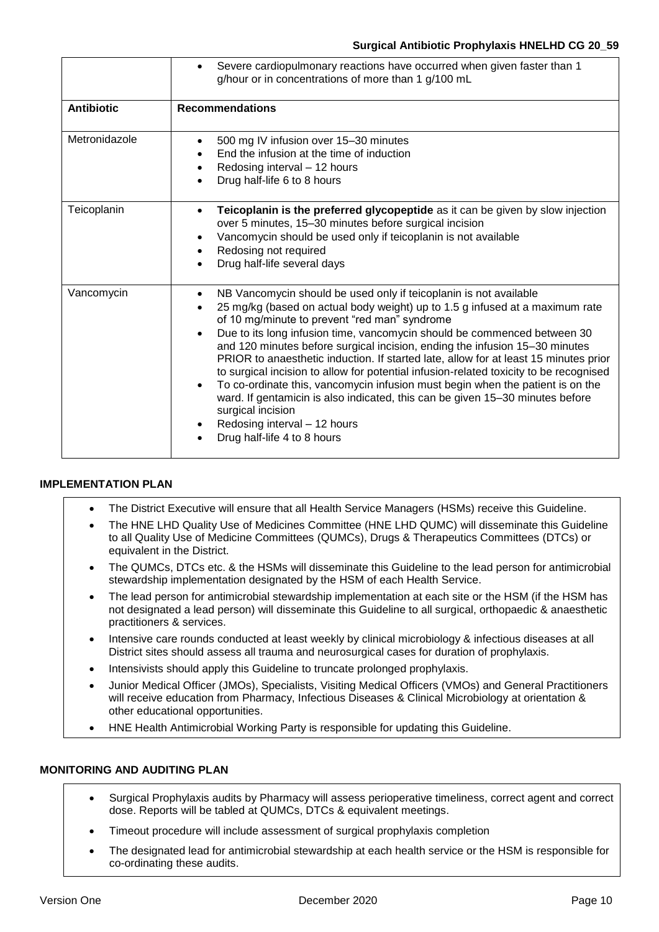|                   | Severe cardiopulmonary reactions have occurred when given faster than 1<br>$\bullet$<br>g/hour or in concentrations of more than 1 g/100 mL                                                                                                                                                                                                                                                                                                                                                                                                                                                                                                                                                                                                                                                                                                                             |
|-------------------|-------------------------------------------------------------------------------------------------------------------------------------------------------------------------------------------------------------------------------------------------------------------------------------------------------------------------------------------------------------------------------------------------------------------------------------------------------------------------------------------------------------------------------------------------------------------------------------------------------------------------------------------------------------------------------------------------------------------------------------------------------------------------------------------------------------------------------------------------------------------------|
| <b>Antibiotic</b> | <b>Recommendations</b>                                                                                                                                                                                                                                                                                                                                                                                                                                                                                                                                                                                                                                                                                                                                                                                                                                                  |
| Metronidazole     | 500 mg IV infusion over 15-30 minutes<br>$\bullet$<br>End the infusion at the time of induction<br>Redosing interval - 12 hours<br>$\bullet$<br>Drug half-life 6 to 8 hours                                                                                                                                                                                                                                                                                                                                                                                                                                                                                                                                                                                                                                                                                             |
| Teicoplanin       | Teicoplanin is the preferred glycopeptide as it can be given by slow injection<br>$\bullet$<br>over 5 minutes, 15-30 minutes before surgical incision<br>Vancomycin should be used only if teicoplanin is not available<br>$\bullet$<br>Redosing not required<br>Drug half-life several days                                                                                                                                                                                                                                                                                                                                                                                                                                                                                                                                                                            |
| Vancomycin        | NB Vancomycin should be used only if teicoplanin is not available<br>$\bullet$<br>25 mg/kg (based on actual body weight) up to 1.5 g infused at a maximum rate<br>$\bullet$<br>of 10 mg/minute to prevent "red man" syndrome<br>Due to its long infusion time, vancomycin should be commenced between 30<br>$\bullet$<br>and 120 minutes before surgical incision, ending the infusion 15-30 minutes<br>PRIOR to anaesthetic induction. If started late, allow for at least 15 minutes prior<br>to surgical incision to allow for potential infusion-related toxicity to be recognised<br>To co-ordinate this, vancomycin infusion must begin when the patient is on the<br>$\bullet$<br>ward. If gentamicin is also indicated, this can be given 15-30 minutes before<br>surgical incision<br>Redosing interval - 12 hours<br>Drug half-life 4 to 8 hours<br>$\bullet$ |

### **IMPLEMENTATION PLAN**

- The District Executive will ensure that all Health Service Managers (HSMs) receive this Guideline.
- The HNE LHD Quality Use of Medicines Committee (HNE LHD QUMC) will disseminate this Guideline to all Quality Use of Medicine Committees (QUMCs), Drugs & Therapeutics Committees (DTCs) or equivalent in the District.
- The QUMCs, DTCs etc. & the HSMs will disseminate this Guideline to the lead person for antimicrobial stewardship implementation designated by the HSM of each Health Service.
- The lead person for antimicrobial stewardship implementation at each site or the HSM (if the HSM has not designated a lead person) will disseminate this Guideline to all surgical, orthopaedic & anaesthetic practitioners & services.
- Intensive care rounds conducted at least weekly by clinical microbiology & infectious diseases at all District sites should assess all trauma and neurosurgical cases for duration of prophylaxis.
- Intensivists should apply this Guideline to truncate prolonged prophylaxis.
- Junior Medical Officer (JMOs), Specialists, Visiting Medical Officers (VMOs) and General Practitioners will receive education from Pharmacy, Infectious Diseases & Clinical Microbiology at orientation & other educational opportunities.
- HNE Health Antimicrobial Working Party is responsible for updating this Guideline.

### **MONITORING AND AUDITING PLAN**

- Surgical Prophylaxis audits by Pharmacy will assess perioperative timeliness, correct agent and correct dose. Reports will be tabled at QUMCs, DTCs & equivalent meetings.
- Timeout procedure will include assessment of surgical prophylaxis completion
- The designated lead for antimicrobial stewardship at each health service or the HSM is responsible for co-ordinating these audits.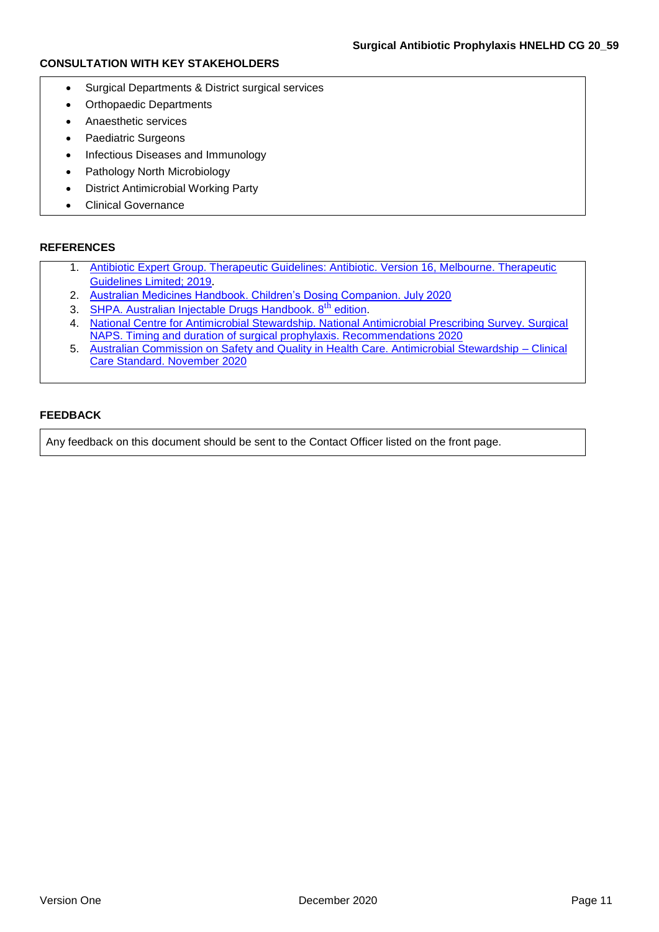### **CONSULTATION WITH KEY STAKEHOLDERS**

- Surgical Departments & District surgical services
- Orthopaedic Departments
- Anaesthetic services
- Paediatric Surgeons
- Infectious Diseases and Immunology
- Pathology North Microbiology
- District Antimicrobial Working Party
- Clinical Governance

### **REFERENCES**

- 1. [Antibiotic Expert Group. Therapeutic Guidelines: Antibiotic. Version 16, Melbourne. Therapeutic](https://tgldcdp.tg.org.au.acs.hcn.com.au/topicTeaser?guidelinePage=Antibiotic&etgAccess=true)  [Guidelines Limited; 2019](https://tgldcdp.tg.org.au.acs.hcn.com.au/topicTeaser?guidelinePage=Antibiotic&etgAccess=true).
- 2. [Australian Medicines Handbook. Children's Dosing Companion. July 2020](https://childrens.amh.net.au.acs.hcn.com.au/)
- 3. [SHPA. Australian Injectable Drugs Handbook. 8](https://aidh.hcn.com.au/browse/about_aidh)<sup>th</sup> edition.
- 4. [National Centre for Antimicrobial Stewardship. National Antimicrobial Prescribing Survey. Surgical](https://irp-cdn.multiscreensite.com/d820f98f/files/uploaded/Principles%20of%20surgical%20prophylaxis_2020.10.28.pdf)  [NAPS. Timing and duration of surgical prophylaxis. Recommendations 2020](https://irp-cdn.multiscreensite.com/d820f98f/files/uploaded/Principles%20of%20surgical%20prophylaxis_2020.10.28.pdf)
- 5. [Australian Commission on Safety and Quality in Health Care. Antimicrobial Stewardship –](https://www.safetyandquality.gov.au/sites/default/files/2020-11/saq10001_ccs_antimicrobial_v4_film_web.pdf) Clinical [Care Standard. November 2020](https://www.safetyandquality.gov.au/sites/default/files/2020-11/saq10001_ccs_antimicrobial_v4_film_web.pdf)

### **FEEDBACK**

Any feedback on this document should be sent to the Contact Officer listed on the front page.